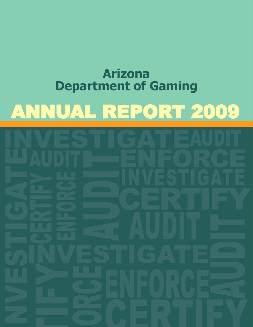# ANNUAL REPORT 2009 **Arizona Department of Gaming**

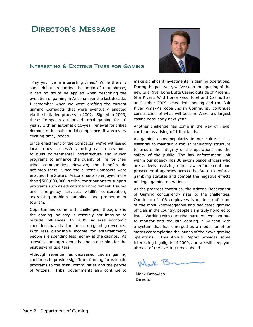### Director's Message

### INTERESTING & EXCITING TIMES FOR GAMING

"May you live in interesting times." While there is some debate regarding the origin of that phrase, it can no doubt be applied when describing the evolution of gaming in Arizona over the last decade. I remember when we were drafting the current gaming Compacts that were eventually enacted via the initiative process in 2002. Signed in 2003, these Compacts authorized tribal gaming for 10 years, with an automatic 10-year renewal for tribes demonstrating substantial compliance. It was a very exciting time, indeed.

Since enactment of the Compacts, we've witnessed local tribes successfully using casino revenues to build governmental infrastructure and launch programs to enhance the quality of life for their tribal communities. However, the benefits do not stop there. Since the current Compacts were enacted, the State of Arizona has also enjoyed more than \$500,000,000 in tribal contributions to support programs such as educational improvement, trauma and emergency services, wildlife conservation, addressing problem gambling, and promotion of tourism.

Opportunities come with challenges, though, and the gaming industry is certainly not immune to outside influences. In 2009, adverse economic conditions have had an impact on gaming revenues. With less disposable income for entertainment, people are spending less money at the casinos. As a result, gaming revenue has been declining for the past several quarters.

Although revenue has decreased, Indian gaming continues to provide significant funding for valuable programs to the tribal communities and the people of Arizona. Tribal governments also continue to



make significant investments in gaming operations. During the past year, we've seen the opening of the new Gila River Lone Butte Casino outside of Phoenix. Gila River's Wild Horse Pass Hotel and Casino has an October 2009 scheduled opening and the Salt River Pima-Maricopa Indian Community continues construction of what will become Arizona's largest casino hotel early next year.

Another challenge has come in the way of illegal card rooms arising off tribal lands.

As gaming gains popularity in our culture, it is essential to maintain a robust regulatory structure to ensure the integrity of the operations and the safety of the public. The law enforcement unit within our agency has 36 sworn peace officers who are actively assisting other law enforcement and prosecutorial agencies across the State to enforce gambling statutes and combat the negative effects of illegal gaming operations.

As the progress continues, the Arizona Department of Gaming concurrently rises to the challenges. Our team of 106 employees is made up of some of the most knowledgeable and dedicated gaming officials in the country, people I am truly honored to lead. Working with our tribal partners, we continue to monitor and regulate gaming in Arizona with a system that has emerged as a model for other states contemplating the launch of their own gaming operations. This Annual Report provides some interesting highlights of 2009, and we will keep you abreast of the exciting times ahead.

Wark Bri

Mark Brnovich Director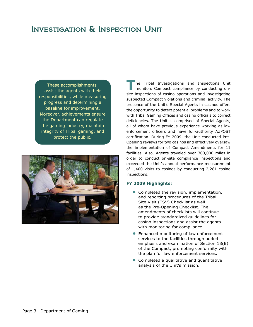# Investigation & Inspection Unit

These accomplishments assist the agents with their responsibilities, while measuring progress and determining a baseline for improvement. Moreover, achievements ensure the Department can regulate the gaming industry, maintain integrity of Tribal gaming, and protect the public.



**T**he Tribal Investigations and Inspections Unit monitors Compact compliance by conducting onsite inspections of casino operations and investigating suspected Compact violations and criminal activity. The presence of the Unit's Special Agents in casinos offers the opportunity to detect potential problems and to work with Tribal Gaming Offices and casino officials to correct deficiencies. The Unit is comprised of Special Agents, all of whom have previous experience working as law enforcement officers and have full-authority AZPOST certification. During FY 2009, the Unit conducted Pre-Opening reviews for two casinos and effectively oversaw the implementation of Compact Amendments for 11 facilities. Also, Agents traveled over 300,000 miles in order to conduct on-site compliance inspections and exceeded the Unit's annual performance measurement of 1,400 visits to casinos by conducting 2,281 casino inspections.

- **•** Completed the revision, implementation, and reporting procedures of the Tribal Site Visit (TSV) Checklist as well as the Pre-Opening Checklist. The amendments of checklists will continue to provide standardized guidelines for casino inspections and assist the agents with monitoring for compliance.
- **•** Enhanced monitoring of law enforcement services to the facilities through added emphasis and examination of Section 13(E) of the Compact, promoting conformity with the plan for law enforcement services.
- **•** Completed a qualitative and quantitative analysis of the Unit's mission.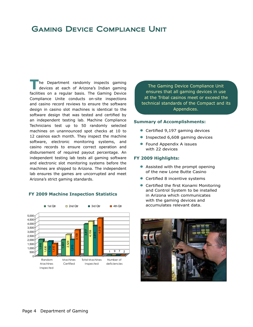### Gaming Device Compliance Unit

**T**he Department randomly inspects gaming<br>devices at each of Arizona's Indian gaming facilities on a regular basis. The Gaming Device Compliance Unite conducts on-site inspections and casino record reviews to ensure the software design in casino slot machines is identical to the software design that was tested and certified by an independent testing lab. Machine Compliance Technicians test up to 50 randomly selected machines on unannounced spot checks at 10 to 12 casinos each month. They inspect the machine software, electronic monitoring systems, and casino records to ensure correct operation and disbursement of required payout percentage. An independent testing lab tests all gaming software and electronic slot monitoring systems before the machines are shipped to Arizona. The independent lab ensures the games are uncorrupted and meet Arizona's strict gaming standards.

#### **FY 2009 Machine Inspection Statistics**



The Gaming Device Compliance Unit ensures that all gaming devices in use at the Tribal casinos meet or exceed the technical standards of the Compact and its Appendices.

#### **Summary of Accomplishments:**

- **•** Certified 9,197 gaming devices
- **•** Inspected 6,608 gaming devices
- **•** Found Appendix A issues with 22 devices

- **•** Assisted with the prompt opening of the new Lone Butte Casino
- **•** Certified 8 incentive systems
- **•** Certified the first Konami Monitoring and Control System to be installed in Arizona which communicates with the gaming devices and accumulates relevant data.

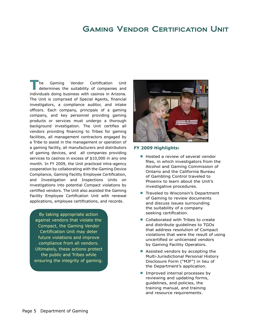### Gaming Vendor Certification Unit

**The Gaming Vendor Certification Unit determines the suitability of companies and** individuals doing business with casinos in Arizona. The Unit is comprised of Special Agents, financial investigators, a compliance auditor, and intake officers. Each company, principals of a gaming company, and key personnel providing gaming products or services must undergo a thorough background investigation. The Unit certifies all vendors providing financing to Tribes for gaming facilities, all management contractors engaged by a Tribe to assist in the management or operation of a gaming facility, all manufacturers and distributors of gaming devices, and all companies providing services to casinos in excess of \$10,000 in any one month. In FY 2009, the Unit practiced intra-agency cooperation by collaborating with the Gaming Device Compliance, Gaming Facility Employee Certification, and Investigation and Inspections Units on investigations into potential Compact violations by certified vendors. The Unit also assisted the Gaming Facility Employee Certification Unit with renewal applications, employee certifications, and records.

By taking appropriate action against vendors that violate the Compact, the Gaming Vendor Certification Unit may deter future violations and improve compliance from all vendors. Ultimately, these actions protect the public and Tribes while ensuring the integrity of gaming.



- **•** Hosted a review of several vendor files, in which investigators from the Alcohol and Gaming Commission of Ontario and the California Bureau of Gambling Control traveled to Phoenix to learn about the Unit's investigative procedures.
- **•** Traveled to Wisconsin's Department of Gaming to review documents and discuss issues surrounding the suitability of a company seeking certification.
- **•** Collaborated with Tribes to create and distribute guidelines to TGOs that address resolution of Compact violations that were the result of using uncertified or unlicensed vendors by Gaming Facility Operators.
- **•** Assisted vendors by accepting the Multi-Jurisdictional Personal History Disclosure Form ("MJF") in lieu of the Department's application.
- **•** Improved internal processes by reviewing and updating forms, guidelines, and policies, the training manual, and training and resource requirements.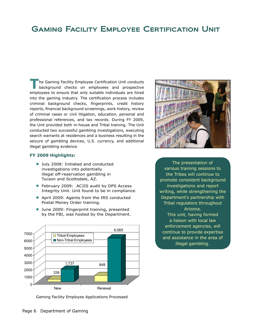# **GAMING FACILITY EMPLOYEE CERTIFICATION UNIT**

**T**he Gaming Facility Employee Certification Unit conducts background checks on employees and prospective employees to ensure that only suitable individuals are hired into the gaming industry. The certification process includes criminal background checks, fingerprints, credit history reports, financial background screenings, work history, review of criminal cases or civil litigation, education, personal and professional references, and tax records. During FY 2009, the Unit provided both in-house and Tribal training. The Unit conducted two successful gambling investigations, executing search warrants at residences and a business resulting in the seizure of gambling devices, U.S. currency, and additional illegal gambling evidence.

#### **FY 2009 Highlights:**

- **•** July 2008: Initiated and conducted investigations into potentially illegal off-reservation gambling in Tucson and Scottsdale, AZ.
- **•** February 2009: ACJIS audit by DPS Access Integrity Unit. Unit found to be in compliance.
- **•** April 2009: Agents from the IRS conducted Postal Money Order training.
- **•** June 2009: Fingerprint training, presented by the FBI, was hosted by the Department.



Gaming Facility Employee Applications Processed



The presentation of various training sessions to the Tribes will continue to promote consistent background investigations and report writing, while strengthening the Department's partnership with Tribal regulators throughout Arizona. This unit, having formed a liaison with local law enforcement agencies, will continue to provide expertise and assistance in the area of illegal gambling.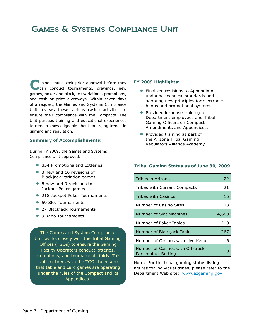# Games & Systems Compliance Unit

**C**asinos must seek prior approval before they can conduct tournaments, drawings, new games, poker and blackjack variations, promotions, and cash or prize giveaways. Within seven days of a request, the Games and Systems Compliance Unit reviews these various casino activities to ensure their compliance with the Compacts. The Unit pursues training and educational experiences to remain knowledgeable about emerging trends in gaming and regulation.

#### **Summary of Accomplishments:**

During FY 2009, the Games and Systems Compliance Unit approved:

- **•** 854 Promotions and Lotteries
- **•** 3 new and 16 revisions of Blackjack variation games
- **•** 8 new and 9 revisions to Jackpot Poker games
- **•** 218 Jackpot Poker Tournaments
- **•** 59 Slot Tournaments
- **•** 27 Blackjack Tournaments
- **•** 9 Keno Tournaments

The Games and System Compliance Unit works closely with the Tribal Gaming Offices (TGOs) to ensure the Gaming Facility Operators conduct lotteries, promotions, and tournaments fairly. This Unit partners with the TGOs to ensure that table and card games are operating under the rules of the Compact and its Appendices.

#### **FY 2009 Highlights:**

- **•** Finalized revisions to Appendix A, updating technical standards and adopting new principles for electronic bonus and promotional systems.
- **•** Provided in-house training to Department employees and Tribal Gaming Officers on Compact Amendments and Appendices.
- **•** Provided training as part of the Arizona Tribal Gaming Regulators Alliance Academy.

#### **Tribal Gaming Status as of June 30, 2009**

| Tribes in Arizona                                       | 22     |
|---------------------------------------------------------|--------|
| Tribes with Current Compacts                            | 21     |
| Tribes with Casinos                                     | 15     |
| Number of Casino Sites                                  | 23     |
| Number of Slot Machines                                 | 14,668 |
| Number of Poker Tables                                  | 210    |
| Number of Blackjack Tables                              | 267    |
| Number of Casinos with Live Keno                        | 6      |
| Number of Casinos with Off-track<br>Pari-mutuel Betting |        |

Note: For the tribal gaming status listing figures for individual tribes, please refer to the Department Web site: www.azgaming.gov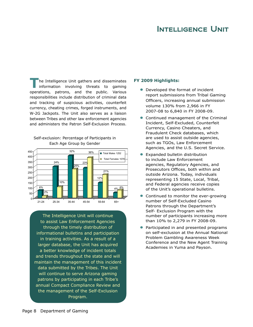### Intelligence Unit

**T**he Intelligence Unit gathers and disseminates<br>
information involving threats to gaming operations, patrons, and the public. Various responsibilities include distribution of criminal data and tracking of suspicious activities, counterfeit currency, cheating crimes, forged instruments, and W-2G Jackpots. The Unit also serves as a liaison between Tribes and other law enforcement agencies and administers the Patron Self-Exclusion Process.





The Intelligence Unit will continue to assist Law Enforcement Agencies through the timely distribution of informational bulletins and participation in training activities. As a result of a larger database, the Unit has acquired a better knowledge of incident totals and trends throughout the state and will maintain the management of this incident data submitted by the Tribes. The Unit will continue to serve Arizona gaming patrons by participating in each Tribe's annual Compact Compliance Review and the management of the Self-Exclusion Program.

- **•** Developed the format of incident report submissions from Tribal Gaming Officers, increasing annual submission volume 130% from 2,966 in FY 2007-08 to 6,840 in FY 2008-09.
- **•** Continued management of the Criminal Incident, Self-Excluded, Counterfeit Currency, Casino Cheaters, and Fraudulent Check databases, which are used to assist outside agencies, such as TGOs, Law Enforcement Agencies, and the U.S. Secret Service.
- **•** Expanded bulletin distribution to include Law Enforcement agencies, Regulatory Agencies, and Prosecutors Offices, both within and outside Arizona. Today, individuals representing 15 State, Local, Tribal, and Federal agencies receive copies of the Unit's operational bulletins.
- **•** Continued to monitor the ever-growing number of Self-Excluded Casino Patrons through the Department's Self- Exclusion Program with the number of participants increasing more than 10% to 2,279 in FY 2008-09.
- **•** Participated in and presented programs on self-exclusion at the Annual National Problem Gambling Awareness Week Conference and the New Agent Training Academies in Yuma and Payson.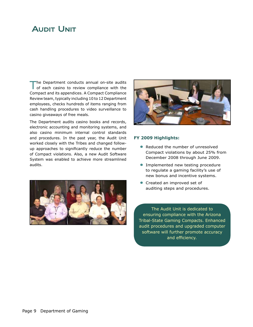# **AUDIT UNIT**

The Department conducts annual on-site audits<br>of each casino to review compliance with the Compact and its appendices. A Compact Compliance Review team, typically including 10 to 12 Department employees, checks hundreds of items ranging from cash handling procedures to video surveillance to casino giveaways of free meals.

The Department audits casino books and records, electronic accounting and monitoring systems, and also casino minimum internal control standards and procedures. In the past year, the Audit Unit worked closely with the Tribes and changed followup approaches to significantly reduce the number of Compact violations. Also, a new Audit Software System was enabled to achieve more streamlined audits.





#### **FY 2009 Highlights:**

- **•** Reduced the number of unresolved Compact violations by about 25% from December 2008 through June 2009.
- **•** Implemented new testing procedure to regulate a gaming facility's use of new bonus and incentive systems.
- **•** Created an improved set of auditing steps and procedures.

The Audit Unit is dedicated to ensuring compliance with the Arizona Tribal-State Gaming Compacts. Enhanced audit procedures and upgraded computer software will further promote accuracy and efficiency.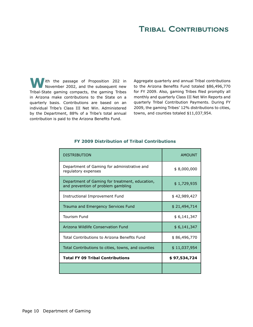### Tribal Contributions

**W**ith the passage of Proposition 202 in November 2002, and the subsequent new Tribal-State gaming compacts, the gaming Tribes in Arizona make contributions to the State on a quarterly basis. Contributions are based on an individual Tribe's Class III Net Win. Administered by the Department, 88% of a Tribe's total annual contribution is paid to the Arizona Benefits Fund.

Aggregate quarterly and annual Tribal contributions to the Arizona Benefits Fund totaled \$86,496,770 for FY 2009. Also, gaming Tribes filed promptly all monthly and quarterly Class III Net Win Reports and quarterly Tribal Contribution Payments. During FY 2009, the gaming Tribes' 12% distributions to cities, towns, and counties totaled \$11,037,954.

| DISTRIBUTION                                                                         | <b>AMOUNT</b> |
|--------------------------------------------------------------------------------------|---------------|
| Department of Gaming for administrative and<br>regulatory expenses                   | \$8,000,000   |
| Department of Gaming for treatment, education,<br>and prevention of problem gambling | \$1,729,935   |
| Instructional Improvement Fund                                                       | \$42,989,427  |
| Trauma and Emergency Services Fund                                                   | \$21,494,714  |
| <b>Tourism Fund</b>                                                                  | \$6,141,347   |
| Arizona Wildlife Conservation Fund                                                   | \$6,141,347   |
| Total Contributions to Arizona Benefits Fund                                         |               |
|                                                                                      | \$86,496,770  |
| Total Contributions to cities, towns, and counties                                   | \$11,037,954  |
| <b>Total FY 09 Tribal Contributions</b>                                              | \$97,534,724  |

### **FY 2009 Distribution of Tribal Contributions**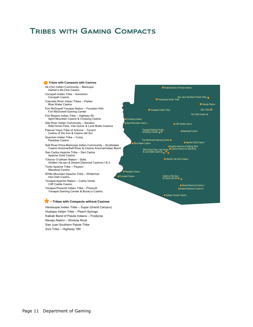### Tribes with Gaming Compacts

#### **- Tribes with Compacts with Casinos**

Ak-Chin Indian Community – Maricopa Harrah's Ak-Chin Casino Cocopah Indian Tribe – Somerton Cocopah Casino Colorado River Indian Tribes – Parker Blue Water Casino Fort McDowell Yavapai Nation – Fountain Hills Fort McDowell Gaming Center Fort Mojave Indian Tribe – Highway 95

 Spirit Mountain Casino & Crossing Casino Gila River Indian Community – Sacaton

 Wild Horse Pass, Vee Quiva, & Lone Butte Casinos Pascua Yaqui Tribe of Arizona – Tucson

 Casino of the Sun & Casino del Sol Quechan Indian Tribe – Yuma Paradise Casino

Salt River Pima-Maricopa Indian Community – Scottsdale Casino Arizona/Salt River & Casino Arizona/Indian Bend

San Carlos Apache Tribe – San Carlos Apache Gold Casino Tohono O'odham Nation – Sells

Golden Ha:san & Desert Diamond Casinos I & II

Tonto Apache Tribe – Payson Mazatzal Casino

White Mountain Apache Tribe – Whiteriver Hon Dah Casino

Yavapai-Apache Nation – Camp Verde Cliff Castle Casino

Yavapai-Prescott Indian Tribe – Prescott Yavapai Gaming Center & Bucky's Casino

#### **- Tribes with Compacts without Casinos**

Havasupai Indian Tribe – Supai (Grand Canyon) Hualapa Indian Tribe – Peach Springs Kaibab Band of Paiute Indians – Fredonia Navajo Nation – Window Rock San Juan Southern Paiute Tribe Zuni Tribe – Highway 180

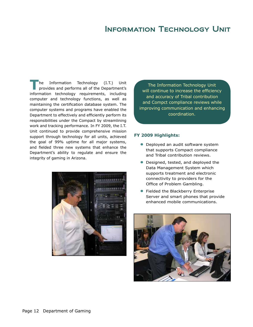### Information Technology Unit

**The Information Technology (I.T.) Unit provides and performs all of the Department's** information technology requirements, including computer and technology functions, as well as maintaining the certification database system. The computer systems and programs have enabled the Department to effectively and efficiently perform its responsibilities under the Compact by streamlining work and tracking performance. In FY 2009, the I.T. Unit continued to provide comprehensive mission support through technology for all units, achieved the goal of 99% uptime for all major systems, and fielded three new systems that enhance the Department's ability to regulate and ensure the integrity of gaming in Arizona.



The Information Technology Unit will continue to increase the efficiency and accuracy of Tribal contribution and Compct compliance reviews while improving communication and enhancing coordination.

- **•** Deployed an audit software system that supports Compact compliance and Tribal contribution reviews.
- **•** Designed, tested, and deployed the Data Management System which supports treatment and electronic connectivity to providers for the Office of Problem Gambling.
- **•** Fielded the Blackberry Enterprise Server and smart phones that provide enhanced mobile communications.

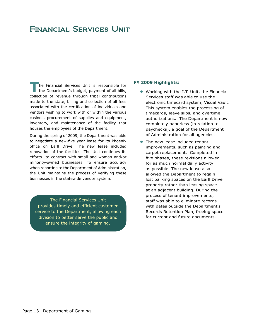# Financial Services Unit

**The Financial Services Unit is responsible for the Department's budget, payment of all bills,** collection of revenue through tribal contributions made to the state, billing and collection of all fees associated with the certification of individuals and vendors wishing to work with or within the various casinos, procurement of supplies and equipment, inventory, and maintenance of the facility that houses the employees of the Department.

During the spring of 2009, the Department was able to negotiate a new-five year lease for its Phoenix office on Earll Drive. The new lease included renovation of the facilities. The Unit continues its efforts to contract with small and woman and/or minority-owned businesses. To ensure accuracy when reporting to the Department of Administration, the Unit maintains the process of verifying these businesses in the statewide vendor system.

The Financial Services Unit provides timely and efficient customer service to the Department, allowing each division to better serve the public and ensure the integrity of gaming.

- **•** Working with the I.T. Unit, the Financial Services staff was able to use the electronic timecard system, Visual Vault. This system enables the processing of timecards, leave slips, and overtime authorizations. The Department is now completely paperless (in relation to paychecks), a goal of the Department of Administration for all agencies.
- **•** The new lease included tenant improvements, such as painting and carpet replacement. Completed in five phases, these revisions allowed for as much normal daily activity as possible. The new lease also allowed the Department to regain lost parking spaces on the Earll Drive property rather than leasing space at an adjacent building. During the process of tenant improvements, staff was able to eliminate records with dates outside the Department's Records Retention Plan, freeing space for current and future documents.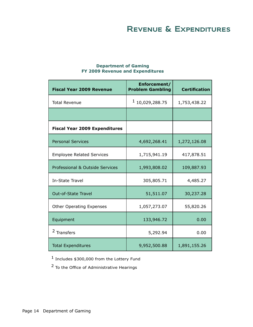# Revenue & Expenditures

| <b>Fiscal Year 2009 Revenue</b>      | Enforcement/<br><b>Problem Gambling</b> | <b>Certification</b> |
|--------------------------------------|-----------------------------------------|----------------------|
| <b>Total Revenue</b>                 | $1$ 10,029,288.75                       | 1,753,438.22         |
|                                      |                                         |                      |
| <b>Fiscal Year 2009 Expenditures</b> |                                         |                      |
| <b>Personal Services</b>             | 4,692,268.41                            | 1,272,126.08         |
| <b>Employee Related Services</b>     | 1,715,941.19                            | 417,878.51           |
| Professional & Outside Services      | 1,993,808.02                            | 109,887.93           |
| <b>In-State Travel</b>               | 305,805.71                              | 4,485.27             |
| <b>Out-of-State Travel</b>           | 51,511.07                               | 30,237.28            |
| <b>Other Operating Expenses</b>      | 1,057,273.07                            | 55,820.26            |
| Equipment                            | 133,946.72                              | 0.00                 |
| <sup>2</sup> Transfers               | 5,292.94                                | 0.00                 |
| <b>Total Expenditures</b>            | 9,952,500.88                            | 1,891,155.26         |

#### **Department of Gaming FY 2009 Revenue and Expenditures**

1 Includes \$300,000 from the Lottery Fund

2 To the Office of Administrative Hearings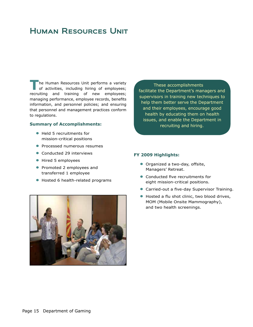# Human Resources Unit

**T**he Human Resources Unit performs a variety of activities, including hiring of employees; recruiting and training of new employees; managing performance, employee records, benefits information, and personnel policies; and ensuring that personnel and management practices conform to regulations.

#### **Summary of Accomplishments:**

- **•** Held 5 recruitments for mission-critical positions
- **•** Processed numerous resumes
- **•** Conducted 29 interviews
- **•** Hired 5 employees
- **•** Promoted 2 employees and transferred 1 employee
- **•** Hosted 6 health-related programs



These accomplishments facilitate the Department's managers and supervisors in training new techniques to help them better serve the Department and their employees, encourage good health by educating them on health issues, and enable the Department in recruiting and hiring.

- **•** Organized a two-day, offsite, Managers' Retreat.
- **•** Conducted five recruitments for eight mission-critical positions.
- **•** Carried-out a five-day Supervisor Training.
- **•** Hosted a flu shot clinic, two blood drives, MOM (Mobile Onsite Mammography), and two health screenings.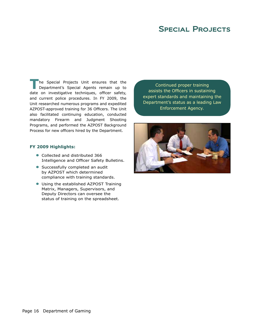# SPECIAL PROJECTS

**T**he Special Projects Unit ensures that the Department's Special Agents remain up to date on investigative techniques, officer safety, and current police procedures. In FY 2009, the Unit researched numerous programs and expedited AZPOST-approved training for 36 Officers. The Unit also facilitated continuing education, conducted mandatory Firearm and Judgment Shooting Programs, and performed the AZPOST Background Process for new officers hired by the Department.

#### **FY 2009 Highlights:**

- **•** Collected and distributed 366 Intelligence and Officer Safety Bulletins.
- **•** Successfully completed an audit by AZPOST which determined compliance with training standards.
- **•** Using the established AZPOST Training Matrix, Managers, Supervisors, and Deputy Directors can oversee the status of training on the spreadsheet.

Continued proper training assists the Officers in sustaining expert standards and maintaining the Department's status as a leading Law Enforcement Agency.

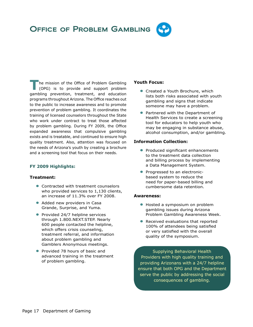### **T** The mission of the Office of Problem Gambling (OPG) is to provide and support problem gambling prevention, treatment, and education programs throughout Arizona. The Office reaches out to the public to increase awareness and to promote prevention of problem gambling. It coordinates the training of licensed counselors throughout the State who work under contract to treat those affected by problem gambling. During FY 2009, the Office expanded awareness that compulsive gambling exists and is treatable, and continued to ensure high quality treatment. Also, attention was focused on the needs of Arizona's youth by creating a brochure and a screening tool that focus on their needs.

### **FY 2009 Highlights:**

### **Treatment:**

- **•** Contracted with treatment counselors who provided services to 1,130 clients, an increase of 11.3% over FY 2008.
- Added new providers in Casa Grande, Surprise, and Yuma.
- **•** Provided 24/7 helpline services through 1.800.NEXT.STEP. Nearly 600 people contacted the helpline, which offers crisis counseling, treatment referral, and information about problem gambling and Gamblers Anonymous meetings.
- **•** Provided 78 hours of basic and advanced training in the treatment of problem gambling.

### **Youth Focus:**

- **•** Created a Youth Brochure, which lists both risks associated with youth gambling and signs that indicate someone may have a problem.
- **•** Partnered with the Department of Health Services to create a screening tool for educators to help youth who may be engaging in substance abuse, alcohol consumption, and/or gambling.

### **Information Collection:**

- **•** Produced significant enhancements to the treatment data collection and billing process by implementing a Data Management System.
- **•** Progressed to an electronicbased system to reduce the need for paper-based billing and cumbersome data retention.

### **Awareness:**

- **•** Hosted a symposium on problem gambling issues during Arizona Problem Gambling Awareness Week.
- **•** Received evaluations that reported 100% of attendees being satisfied or very satisfied with the overall quality of the symposium.

Supplying Behavioral Health Providers with high quality training and providing Arizonans with a 24/7 helpline ensure that both OPG and the Department serve the public by addressing the social consequences of gambling.

# Office of Problem Gambling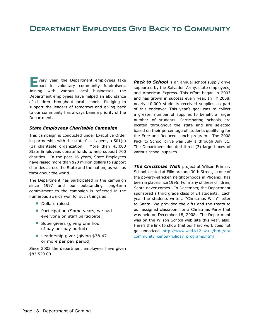# Department Employees Give Back to Community

**E**very year, the Department employees take<br>
part in voluntary community fundraisers. Joining with various local businesses, the Department employees have helped an abundance of children throughout local schools. Pledging to support the leaders of tomorrow and giving back to our community has always been a priority of the Department.

#### *State Employees Charitable Campaign*

This campaign is conducted under Executive Order in partnership with the state fiscal agent, a 501(c) (3) charitable organization. More than 45,000 State Employees donate funds to help support 700 charities. In the past 16 years, State Employees have raised more than \$20 million dollars to support charities across the State and the nation, as well as throughout the world.

The Department has participated in the campaign since 1997 and our outstanding long-term commitment to the campaign is reflected in the numerous awards won for such things as:

- **•** Dollars raised
- **•** Participation (Some years, we had everyone on staff participate.)
- **•** Supergivers (giving one hour of pay per pay period)
- **•** Leadership giver (giving \$38.47 or more per pay period)

Since 2002 the department employees have given \$83,529.00.

**Pack to School** is an annual school supply drive supported by the Salvation Army, state employees, and American Express. This effort began in 2003 and has grown in success every year. In FY 2008, nearly 10,000 students received supplies as part of this endeavor. This year's goal was to collect a greater number of supplies to benefit a larger number of students. Participating schools are located throughout the state and are selected based on their percentage of students qualifying for the Free and Reduced Lunch program. The 2008 Pack to School drive was July 1 through July 31. The Department donated three (3) large boxes of various school supplies.

*The Christmas Wish* project at Wilson Primary School located at Fillmore and 30th Street, in one of the poverty-stricken neighborhoods in Phoenix, has been in place since 1995. For many of these children, Santa never comes. In December, the Department sponsored a third grade class of 24 students. Each year the students write a "Christmas Wish" letter to Santa. We provided the gifts and the treats to our assigned classroom for a Christmas Party that was held on December 18, 2008. The Department was on the Wilson School web site this year, also. Here's the link to show that our hard work does not go unnoticed http://www.wsd.k12.az.us/html/do/ community\_center/holiday\_programs.html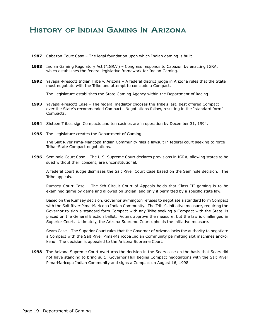### History of Indian Gaming In Arizona

- **1987** Cabazon Court Case The legal foundation upon which Indian gaming is built.
- **1988** Indian Gaming Regulatory Act ("IGRA") Congress responds to Cabazon by enacting IGRA, which establishes the federal legislative framework for Indian Gaming.
- **1992** Yavapai-Prescott Indian Tribe v. Arizona A federal district judge in Arizona rules that the State must negotiate with the Tribe and attempt to conclude a Compact.

The Legislature establishes the State Gaming Agency within the Department of Racing.

- **1993** Yavapai-Prescott Case The federal mediator chooses the Tribe's last, best offered Compact over the State's recommended Compact. Negotiations follow, resulting in the "standard form" Compacts.
- **1994** Sixteen Tribes sign Compacts and ten casinos are in operation by December 31, 1994.
- **1995** The Legislature creates the Department of Gaming.

The Salt River Pima-Maricopa Indian Community files a lawsuit in federal court seeking to force Tribal-State Compact negotiations.

**1996** Seminole Court Case – The U.S. Supreme Court declares provisions in IGRA, allowing states to be sued without their consent, are unconstitutional.

A federal court judge dismisses the Salt River Court Case based on the Seminole decision. The Tribe appeals.

Rumsey Court Case – The 9th Circuit Court of Appeals holds that Class III gaming is to be examined game by game and allowed on Indian land only if permitted by a specific state law.

Based on the Rumsey decision, Governor Symington refuses to negotiate a standard form Compact with the Salt River Pima-Maricopa Indian Community. The Tribe's initiative measure, requiring the Governor to sign a standard form Compact with any Tribe seeking a Compact with the State, is placed on the General Election ballot. Voters approve the measure, but the law is challenged in Superior Court. Ultimately, the Arizona Supreme Court upholds the initiative measure.

Sears Case – The Superior Court rules that the Governor of Arizona lacks the authority to negotiate a Compact with the Salt River Pima-Maricopa Indian Community permitting slot machines and/or keno. The decision is appealed to the Arizona Supreme Court.

**1998** The Arizona Supreme Court overturns the decision in the Sears case on the basis that Sears did not have standing to bring suit. Governor Hull begins Compact negotiations with the Salt River Pima-Maricopa Indian Community and signs a Compact on August 16, 1998.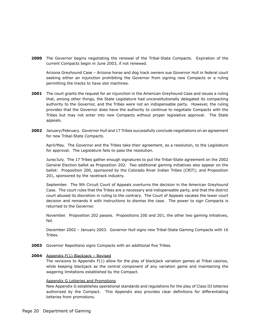**2000** The Governor begins negotiating the renewal of the Tribal-State Compacts. Expiration of the current Compacts begin in June 2003, if not renewed.

Arizona Greyhound Case – Arizona horse and dog track owners sue Governor Hull in federal court seeking either an injunction prohibiting the Governor from signing new Compacts or a ruling permitting the tracks to have slot machines.

- **2001** The court grants the request for an injunction in the American Greyhound Case and issues a ruling that, among other things, the State Legislature had unconstitutionally delegated its compacting authority to the Governor, and the Tribes were not an indispensable party. However, the ruling provides that the Governor does have the authority to continue to negotiate Compacts with the Tribes but may not enter into new Compacts without proper legislative approval. The State appeals.
- **2002** January/February. Governor Hull and 17 Tribes successfully conclude negotiations on an agreement for new Tribal-State Compacts.

April/May. The Governor and the Tribes take their agreement, as a resolution, to the Legislature for approval. The Legislature fails to pass the resolution.

June/July. The 17 Tribes gather enough signatures to put the Tribal-State agreement on the 2002 General Election ballot as Proposition 202. Two additional gaming initiatives also appear on the ballot: Proposition 200, sponsored by the Colorado River Indian Tribes (CRIT); and Proposition 201, sponsored by the racetrack industry.

September. The 9th Circuit Court of Appeals overturns the decision in the American Greyhound Case. The court rules that the Tribes are a necessary and indispensable party, and that the district court abused its discretion in ruling to the contrary. The Court of Appeals vacates the lower court decision and remands it with instructions to dismiss the case. The power to sign Compacts is returned to the Governor.

November. Proposition 202 passes. Propositions 200 and 201, the other two gaming initiatives, fail.

December 2002 – January 2003. Governor Hull signs new Tribal-State Gaming Compacts with 16 Tribes.

- **2003** Governor Napolitano signs Compacts with an additional five Tribes.
- **2004** Appendix F(1) Blackjack Revised

The revisions to Appendix F(1) allow for the play of blackjack variation games at Tribal casinos, while keeping blackjack as the central component of any variation game and maintaining the wagering limitations established by the Compact.

#### Appendix G Lotteries and Promotions

New Appendix G establishes operational standards and regulations for the play of Class III lotteries authorized by the Compact. This Appendix also provides clear definitions for differentiating lotteries from promotions.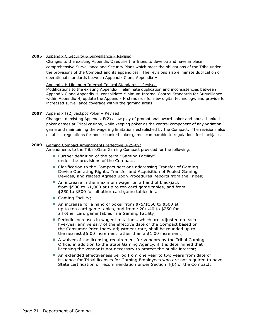#### **2005** Appendix C Security & Surveillance – Revised

Changes to the existing Appendix C require the Tribes to develop and have in place comprehensive Surveillance and Security Plans which meet the obligations of the Tribe under the provisions of the Compact and its appendices. The revisions also eliminate duplication of operational standards between Appendix C and Appendix H.

#### Appendix H Minimum Internal Control Standards – Revised

Modifications to the existing Appendix H eliminate duplication and inconsistencies between Appendix C and Appendix H, consolidate Minimum Internal Control Standards for Surveillance within Appendix H, update the Appendix H standards for new digital technology, and provide for increased surveillance coverage within the gaming areas.

#### **2007** Appendix F(2) Jackpot Poker – Revised

Changes to existing Appendix F(2) allow play of promotional award poker and house-banked poker games at Tribal casinos, while keeping poker as the central component of any variation game and maintaining the wagering limitations established by the Compact. The revisions also establish regulations for house-banked poker games comparable to regulations for blackjack.

#### **2009** Gaming Compact Amendments (effective 3-25-09)

Amendments to the Tribal-State Gaming Compact provided for the following:

- **•** Further definition of the term "Gaming Facility" under the provisions of the Compact;
- **•** Clarification to the Compact sections addressing Transfer of Gaming Device Operating Rights, Transfer and Acquisition of Pooled Gaming Devices, and related Agreed upon Procedures Reports from the Tribes;
- **•** An increase in the maximum wager on a hand of blackjack from \$500 to \$1,000 at up to ten card game tables, and from \$250 to \$500 for all other card game tables in a
- **•** Gaming Facility;
- **•** An increase for a hand of poker from \$75/\$150 to \$500 at up to ten card game tables, and from \$20/\$40 to \$250 for all other card game tables in a Gaming Facility;
- **•** Periodic increases in wager limitations, which are adjusted on each five-year anniversary of the effective date of the Compact based on the Consumer Price Index adjustment rate, shall be rounded up to the nearest \$5.00 increment rather than a \$1.00 increment;
- **•** A waiver of the licensing requirement for vendors by the Tribal Gaming Office, in addition to the State Gaming Agency, if it is determined that licensing the vendor is not necessary to protect the public interest;
- **•** An extended effectiveness period from one year to two years from date of issuance for Tribal licenses for Gaming Employees who are not required to have State certification or recommendation under Section 4(b) of the Compact;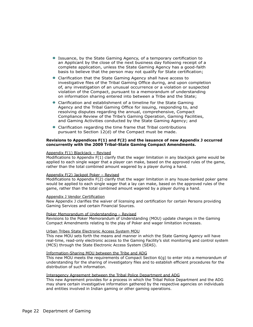- **•** Issuance, by the State Gaming Agency, of a temporary certification to an Applicant by the close of the next business day following receipt of a complete application, unless the State Gaming Agency has a good-faith basis to believe that the person may not qualify for State certification;
- **•** Clarification that the State Gaming Agency shall have access to investigative files of the Tribal Gaming Office during, and upon completion of, any investigation of an unusual occurrence or a violation or suspected violation of the Compact, pursuant to a memorandum of understanding on information sharing entered into between a Tribe and the State;
- **•** Clarification and establishment of a timeline for the State Gaming Agency and the Tribal Gaming Office for issuing, responding to, and resolving disputes regarding the annual, comprehensive, Compact Compliance Review of the Tribe's Gaming Operation, Gaming Facilities, and Gaming Activities conducted by the State Gaming Agency; and
- **•** Clarification regarding the time frame that Tribal contributions pursuant to Section 12(d) of the Compact must be made.

#### **Revisions to Appendices F(1) and F(2) and the issuance of new Appendix J occurred concurrently with the 2009 Tribal-State Gaming Compact Amendments.**

#### Appendix F(1) Blackjack – Revised

Modifications to Appendix  $F(1)$  clarify that the wager limitation in any blackjack game would be applied to each single wager that a player can make, based on the approved rules of the game, rather than the total combined amount wagered by a player during a hand.

#### Appendix F(2) Jackpot Poker – Revised

Modifications to Appendix F(2) clarify that the wager limitation in any house-banked poker game would be applied to each single wager that a lay can make, based on the approved rules of the game, rather than the total combined amount wagered by a player during a hand.

#### Appendix J Vendor Certification

New Appendix J clarifies the waiver of licensing and certification for certain Persons providing Gaming Services and certain Financial Sources.

#### Poker Memorandum of Understanding – Revised

Revisions to the Poker Memorandum of Understanding (MOU) update changes in the Gaming Compact Amendments relating to the play of Poker and wager limitation increases.

#### Urban Tribes State Electronic Access System MOU

This new MOU sets forth the means and manner in which the State Gaming Agency will have real-time, read-only electronic access to the Gaming Facility's slot monitoring and control system (MCS) through the State Electronic Access System (SEAS).

#### Information-Sharing MOU between the Tribe and ADG

This new MOU meets the requirements of Compact Section 6(g) to enter into a memorandum of understanding for the sharing of investigatory files and to establish efficient procedures for the distribution of such information.

#### Interagency Agreement between the Tribal Police Department and ADG

This new Agreement provides for a process in which the Tribal Police Department and the ADG may share certain investigative information gathered by the respective agencies on individuals and entities involved in Indian gaming or other gaming operations.